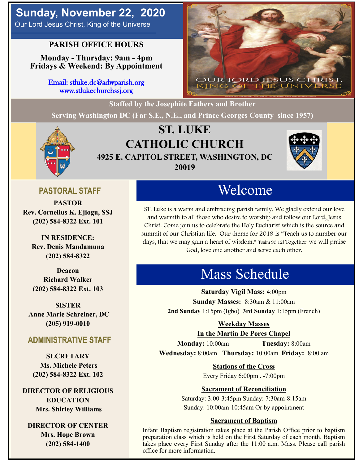# **Sunday, November 22, 2020**

Our Lord Jesus Christ, King of the Universe

## **PARISH OFFICE HOURS**

**Monday - Thursday: 9am - 4pm Fridays & Weekend: By Appointment**

> Email: stluke.dc@adwparish.org www.stlukechurchssj.org



**Staffed by the Josephite Fathers and Brother Serving Washington DC (Far S.E., N.E., and Prince Georges County since 1957)**



# **ST. LUKE CATHOLIC CHURCH 4925 E. CAPITOL STREET, WASHINGTON, DC 20019**



## **PASTORAL STAFF**

**PASTOR Rev. Cornelius K. Ejiogu, SSJ (202) 584-8322 Ext. 101**

**IN RESIDENCE: Rev. Denis Mandamuna (202) 584-8322** 

**Deacon Richard Walker (202) 584-8322 Ext. 103**

**SISTER Anne Marie Schreiner, DC (205) 919-0010**

### **ADMINISTRATIVE STAFF**

**SECRETARY Ms. Michele Peters (202) 584-8322 Ext. 102**

**DIRECTOR OF RELIGIOUS EDUCATION Mrs. Shirley Williams**

**DIRECTOR OF CENTER Mrs. Hope Brown (202) 584-1400**

# Welcome

ST. Luke is a warm and embracing parish family. We gladly extend our love and warmth to all those who desire to worship and follow our Lord, Jesus Christ. Come join us to celebrate the Holy Eucharist which is the source and summit of our Christian life. Our theme for 2019 is "Teach us to number our days, that we may gain a heart of wisdom." [Psalm 90:12] Together we will praise God, love one another and serve each other.

# Mass Schedule

**Saturday Vigil Mass:** 4:00pm **Sunday Masses:** 8:30am & 11:00am **2nd Sunday** 1:15pm (Igbo) **3rd Sunday** 1:15pm (French)

### **Weekday Masses**

**In the Martin De Pores Chapel**

**Monday:** 10:00am **Tuesday:** 8:00am **Wednesday:** 8:00am **Thursday:** 10:00am **Friday:** 8:00 am

**Stations of the Cross**

Every Friday 6:00pm . -7:00pm

### **Sacrament of Reconciliation**

Saturday: 3:00-3:45pm Sunday: 7:30am-8:15am Sunday: 10:00am-10:45am Or by appointment

### **Sacrament of Baptism**

Infant Baptism registration takes place at the Parish Office prior to baptism preparation class which is held on the First Saturday of each month. Baptism takes place every First Sunday after the 11:00 a.m. Mass. Please call parish office for more information.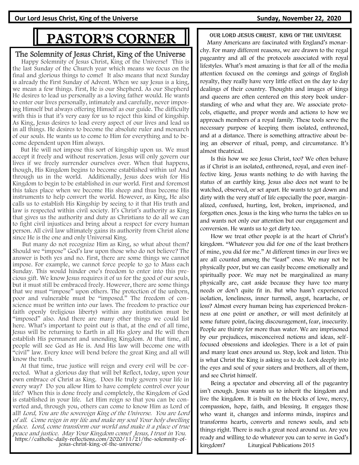**Our Lord Jesus Christ, King of the Universe Sunday, November 22, 2020**

# PASTOR'S CORNER

The Solemnity of Jesus Christ, King of the Universe

 Happy Solemnity of Jesus Christ, King of the Universe! This is the last Sunday of the Church year which means we focus on the final and glorious things to come! It also means that next Sunday is already the First Sunday of Advent. When we say Jesus is a king, we mean a few things. First, He is our Shepherd. As our Shepherd He desires to lead us personally as a loving father would. He wants to enter our lives personally, intimately and carefully, never imposing Himself but always offering Himself as our guide. The difficulty with this is that it's very easy for us to reject this kind of kingship. As King, Jesus desires to lead every aspect of our lives and lead us in all things. He desires to become the absolute ruler and monarch of our souls. He wants us to come to Him for everything and to become dependent upon Him always.

 But He will not impose this sort of kingship upon us. We must accept it freely and without reservation. Jesus will only govern our lives if we freely surrender ourselves over. When that happens, though, His Kingdom begins to become established within us! And through us in the world. Additionally, Jesus does wish for His Kingdom to begin to be established in our world. First and foremost this takes place when we become His sheep and thus become His instruments to help convert the world. However, as King, He also calls us to establish His Kingship by seeing to it that His truth and law is respected within civil society. It's Christ's authority as King that gives us the authority and duty as Christians to do all we can to fight civil injustices and bring about a respect for every human person. All civil law ultimately gains its authority from Christ alone since He is the one and only Universal King.

 But many do not recognize Him as King, so what about them? Should we "impose" God's law upon those who do not believe? The answer is both yes and no. First, there are some things we cannot impose. For example, we cannot force people to go to Mass each Sunday. This would hinder one's freedom to enter into this precious gift. We know Jesus requires it of us for the good of our souls, but it must still be embraced freely. However, there are some things that we must "impose" upon others. The protection of the unborn, poor and vulnerable must be "imposed." The freedom of conscience must be written into our laws. The freedom to practice our faith openly (religious liberty) within any institution must be "imposed" also. And there are many other things we could list here. What's important to point out is that, at the end of all time, Jesus will be returning to Earth in all His glory and He will then establish His permanent and unending Kingdom. At that time, all people will see God as He is. And His law will become one with "civil" law. Every knee will bend before the great King and all will know the truth.

 At that time, true justice will reign and every evil will be corrected. What a glorious day that will be! Reflect, today, upon your own embrace of Christ as King. Does He truly govern your life in every way? Do you allow Him to have complete control over your life? When this is done freely and completely, the Kingdom of God is established in your life. Let Him reign so that you can be converted and, through you, others can come to know Him as Lord of all! Lord, You are the sovereign King of the Universe. You are Lord of all. Come reign in my life and make my soul Your holy dwelling place. Lord, come transform our world and make it a place of true peace and justice. May Your Kingdom come! Jesus, I trust in You. https://catholic-daily-reflections.com/2020/11/21/the-solemnity-ofjesus-christ-king-of-the-universe/

our lord jesus Christ, king of the Universe

 Many Americans are fascinated with England's monarchy. For many different reasons, we are drawn to the regal pageantry and all of the protocols associated with royal lifestyles. What's most amazing is that for all of the media attention focused on the comings and goings of English royalty, they really have very little effect on the day to day dealings of their country. Thoughts and images of kings and queens are often centered on this story book understanding of who and what they are. We associate protocols, etiquette, and proper words and actions to how we approach members of a royal family. These tools serve the necessary purpose of keeping them isolated, enthroned, and at a distance. There is something attractive about being an observer of ritual, pomp, and circumstance. It's almost theatrical.

 Is this how we see Jesus Christ, too? We often behave as if Christ is an isolated, enthroned, royal, and even ineffective king. Jesus wants nothing to do with having the status of an earthly king. Jesus also does not want to be watched, observed, or set apart. He wants to get down and dirty with the very stuff of life especially the poor, marginalized, confused, hurting, lost, broken, imprisoned, and forgotten ones. Jesus is the king who turns the tables on us and wants not only our attention but our engagement and conversion. He wants us to get dirty too.

 How we treat other people is at the heart of Christ's kingdom. "Whatever you did for one of the least brothers of mine, you did for me." At different times in our lives we are all counted among the "least" ones. We may not be physically poor, but we can easily become emotionally and spiritually poor. We may not be marginalized as many physically are, cast aside because they have too many needs or don't quite fit in. But who hasn't experienced isolation, loneliness, inner turmoil, angst, heartache, or loss? Almost every human being has experienced brokenness at one point or another, or will most definitely at some future point, facing discouragement, fear, insecurity. People are thirsty for more than water. We are imprisoned by our prejudices, misconceived notions and ideas, selffocused obsessions and ideologies. There is a lot of pain and many least ones around us. Stop, look and listen. This is what Christ the King is asking us to do. Look deeply into the eyes and soul of your sisters and brothers, all of them, and see Christ himself.

 Being a spectator and observing all of the pageantry isn't enough. Jesus wants us to inherit the kingdom and live the kingdom. It is built on the blocks of love, mercy, compassion, hope, faith, and blessing. It engages those who want it, changes and informs minds, inspires and transforms hearts, converts and renews souls, and sets things right. There is such a great need around us. Are you ready and willing to do whatever you can to serve in God's kingdom? Liturgical Publications 2015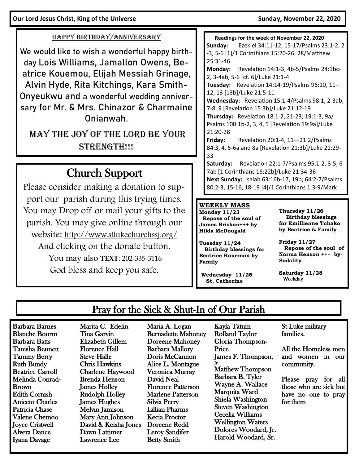**Our Lord Jesus Christ, King of the Universe Sunday, November 22, 2020** 

### HAPPY BIRTHDAY/ANNIVERSARY

We would like to wish a wonderful happy birthday Lois Williams, Jamallon Owens, Beatrice Kouemou, Elijah Messiah Grinage, Alvin Hyde, Rita Kitchings, Kara Smith-Onyeukwu and a wonderful wedding anniversary for Mr. & Mrs. Chinazor & Charmaine Onianwah.

May the Joy of the Lord be your STRENGTH!!!

# Church Support

Please consider making a donation to support our parish during this trying times. You may Drop off or mail your gifts to the parish. You may give online through our website: http://www.stlukechurchssj.org/ And clicking on the donate button. You may also **TEXT**: 202-335-3116 God bless and keep you safe.

 **Readings for the week of November 22, 2020 Sunday:** Ezekiel 34:11-12, 15-17/Psalms 23:1-2, 2 -3, 5-6 [1]/1 Corinthians 15:20-26, 28/Matthew 25:31-46 **Monday:** Revelation 14:1-3, 4b-5/Psalms 24:1bc-2, 3-4ab, 5-6 [cf. 6]/Luke 21:1-4 **Tuesday:** Revelation 14:14-19/Psalms 96:10, 11- 12, 13 [13b]/Luke 21:5-11 **Wednesday:** Revelation 15:1-4/Psalms 98:1, 2-3ab, 7-8, 9 [Revelation 15:3b]/Luke 21:12-19 **Thursday:** Revelation 18:1-2, 21-23; 19:1-3, 9a/ Psalms 100:1b-2, 3, 4, 5 [Revelation 19:9a]/Luke 21:20-28 **Friday:** Revelation 20:1-4, 11—21:2/Psalms 84:3, 4, 5-6a and 8a [Revelation 21:3b]/Luke 21:29- 33 **Saturday:** Revelation 22:1-7/Psalms 95:1-2, 3-5, 6- 7ab [1 Corinthians 16:22b]/Luke 21:34-36 **Next Sunday:** Isaiah 63:16b-17, 19b; 64:2-7/Psalms

80:2-3, 15-16, 18-19 [4]/1 Corinthians 1:3-9/Mark

#### **WEEKLY MASS**

**Monday 11/23 Repose of the soul of James Brisbon+++ by Hilda McDougald**

**Tuesday 11/24 Birthday blessings for Beatrice Kouemou by Family** 

**Wednesday 11/25 St. Catherine**

**Thursday 11/26 Birthday blessings for Emillienne Tchako by Beatrice & Family**

**Friday 11/27 Repose of the soul of Norma Henson +++ by-Sodality**

**Saturday 11/28** Weekday

### Pray for the Sick & Shut-In of Our Parish

Barbara Barnes Blanche Bourm Barbara Batts Tanisha Bennett Tammy Berry Ruth Bundy Beatrice Carroll Melinda Conrad-Brown Edith Cornish Aniceto Charles Patricia Chase Valene Chemoo Joyce Cristwell Alvera Dance Iyana Davage

Marita C. Edelin Tina Garvin Elizabeth Gillem Florence Hall Steve Halle Chris Hawkins Charlene Haywood Brenda Henson James Holley Rudolph Holley James Hughes Melvin Jamison Mary Ann Johnson David & Keisha Jones Dawn Lattimer Lawrence Lee

Maria A. Logan Bernadette Mahoney Doreene Mahoney Barbara Mallory Doris McCannon Alice L. Montague Veronica Murray David Neal Florence Patterson Marlene Patterson Silvia Perry Lillian Pharms Kecia Proctor Doreene Redd Leroy Sandifer Betty Smith

Kayla Tatum Rolland Taylor Gloria Thompson-Price James F. Thompson, Jr. Matthew Thompson Barbara B. Tyler Wayne A. Wallace Marquita Ward Shiela Washington Steven Washington Cecelia Williams Wellington Waters Dolores Woodard, Jr. Harold Woodard, Sr.

St Luke military families.

All the Homeless men and women in our community.

Please pray for all those who are sick but have no one to pray for them